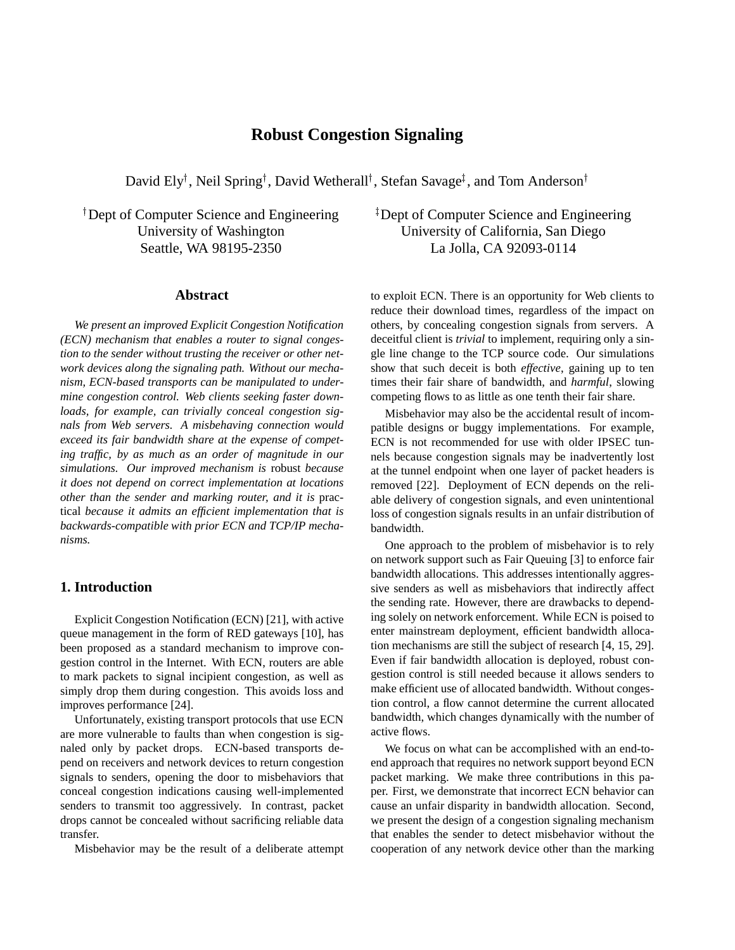# **Robust Congestion Signaling**

David Ely<sup>†</sup>, Neil Spring<sup>†</sup>, David Wetherall<sup>†</sup>, Stefan Savage<sup>‡</sup>, and Tom Anderson<sup>†</sup>

 Dept of Computer Science and Engineering University of Washington Seattle, WA 98195-2350

#### **Abstract**

*We present an improved Explicit Congestion Notification (ECN) mechanism that enables a router to signal congestion to the sender without trusting the receiver or other network devices along the signaling path. Without our mechanism, ECN-based transports can be manipulated to undermine congestion control. Web clients seeking faster downloads, for example, can trivially conceal congestion signals from Web servers. A misbehaving connection would exceed its fair bandwidth share at the expense of competing traffic, by as much as an order of magnitude in our simulations. Our improved mechanism is* robust *because it does not depend on correct implementation at locations other than the sender and marking router, and it is* practical *because it admits an efficient implementation that is backwards-compatible with prior ECN and TCP/IP mechanisms.*

# **1. Introduction**

Explicit Congestion Notification (ECN) [21], with active queue management in the form of RED gateways [10], has been proposed as a standard mechanism to improve congestion control in the Internet. With ECN, routers are able to mark packets to signal incipient congestion, as well as simply drop them during congestion. This avoids loss and improves performance [24].

Unfortunately, existing transport protocols that use ECN are more vulnerable to faults than when congestion is signaled only by packet drops. ECN-based transports depend on receivers and network devices to return congestion signals to senders, opening the door to misbehaviors that conceal congestion indications causing well-implemented senders to transmit too aggressively. In contrast, packet drops cannot be concealed without sacrificing reliable data transfer.

Misbehavior may be the result of a deliberate attempt

 Dept of Computer Science and Engineering University of California, San Diego La Jolla, CA 92093-0114

to exploit ECN. There is an opportunity for Web clients to reduce their download times, regardless of the impact on others, by concealing congestion signals from servers. A deceitful client is *trivial* to implement, requiring only a single line change to the TCP source code. Our simulations show that such deceit is both *effective*, gaining up to ten times their fair share of bandwidth, and *harmful*, slowing competing flows to as little as one tenth their fair share.

Misbehavior may also be the accidental result of incompatible designs or buggy implementations. For example, ECN is not recommended for use with older IPSEC tunnels because congestion signals may be inadvertently lost at the tunnel endpoint when one layer of packet headers is removed [22]. Deployment of ECN depends on the reliable delivery of congestion signals, and even unintentional loss of congestion signals results in an unfair distribution of bandwidth.

One approach to the problem of misbehavior is to rely on network support such as Fair Queuing [3] to enforce fair bandwidth allocations. This addresses intentionally aggressive senders as well as misbehaviors that indirectly affect the sending rate. However, there are drawbacks to depending solely on network enforcement. While ECN is poised to enter mainstream deployment, efficient bandwidth allocation mechanisms are still the subject of research [4, 15, 29]. Even if fair bandwidth allocation is deployed, robust congestion control is still needed because it allows senders to make efficient use of allocated bandwidth. Without congestion control, a flow cannot determine the current allocated bandwidth, which changes dynamically with the number of active flows.

We focus on what can be accomplished with an end-toend approach that requires no network support beyond ECN packet marking. We make three contributions in this paper. First, we demonstrate that incorrect ECN behavior can cause an unfair disparity in bandwidth allocation. Second, we present the design of a congestion signaling mechanism that enables the sender to detect misbehavior without the cooperation of any network device other than the marking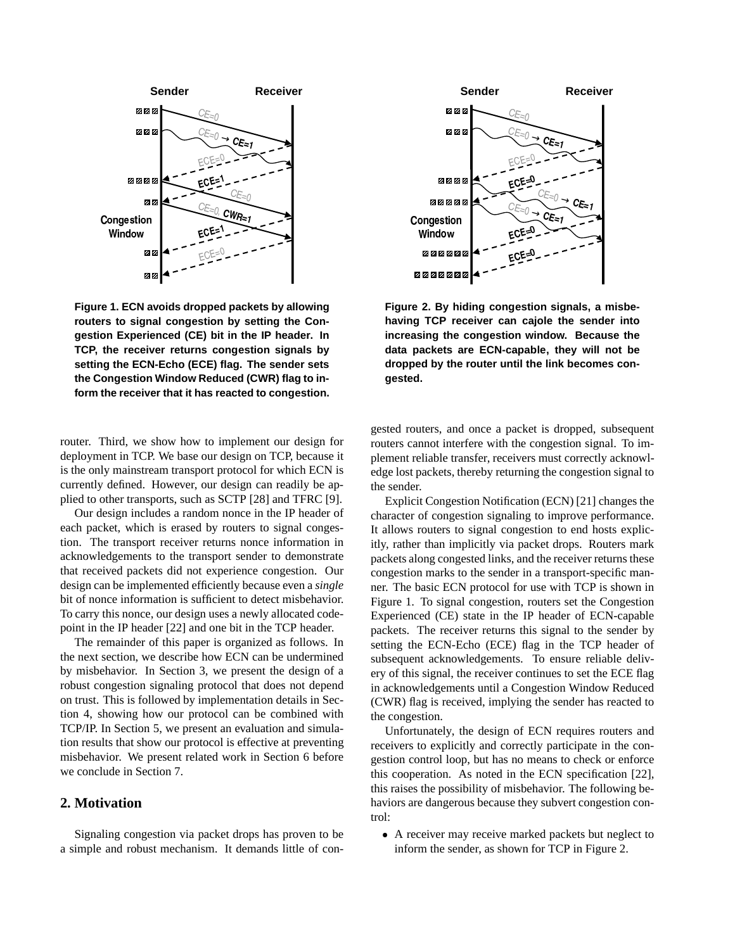

**Figure 1. ECN avoids dropped packets by allowing routers to signal congestion by setting the Congestion Experienced (CE) bit in the IP header. In TCP, the receiver returns congestion signals by setting the ECN-Echo (ECE) flag. The sender sets the Congestion Window Reduced (CWR) flag to inform the receiver that it has reacted to congestion.**

router. Third, we show how to implement our design for deployment in TCP. We base our design on TCP, because it is the only mainstream transport protocol for which ECN is currently defined. However, our design can readily be applied to other transports, such as SCTP [28] and TFRC [9].

Our design includes a random nonce in the IP header of each packet, which is erased by routers to signal congestion. The transport receiver returns nonce information in acknowledgements to the transport sender to demonstrate that received packets did not experience congestion. Our design can be implemented efficiently because even a *single* bit of nonce information is sufficient to detect misbehavior. To carry this nonce, our design uses a newly allocated codepoint in the IP header [22] and one bit in the TCP header.

The remainder of this paper is organized as follows. In the next section, we describe how ECN can be undermined by misbehavior. In Section 3, we present the design of a robust congestion signaling protocol that does not depend on trust. This is followed by implementation details in Section 4, showing how our protocol can be combined with TCP/IP. In Section 5, we present an evaluation and simulation results that show our protocol is effective at preventing misbehavior. We present related work in Section 6 before we conclude in Section 7.

## **2. Motivation**

Signaling congestion via packet drops has proven to be a simple and robust mechanism. It demands little of con-



**Figure 2. By hiding congestion signals, a misbehaving TCP receiver can cajole the sender into increasing the congestion window. Because the data packets are ECN-capable, they will not be dropped by the router until the link becomes congested.**

gested routers, and once a packet is dropped, subsequent routers cannot interfere with the congestion signal. To implement reliable transfer, receivers must correctly acknowledge lost packets, thereby returning the congestion signal to the sender.

Explicit Congestion Notification (ECN) [21] changes the character of congestion signaling to improve performance. It allows routers to signal congestion to end hosts explicitly, rather than implicitly via packet drops. Routers mark packets along congested links, and the receiver returns these congestion marks to the sender in a transport-specific manner. The basic ECN protocol for use with TCP is shown in Figure 1. To signal congestion, routers set the Congestion Experienced (CE) state in the IP header of ECN-capable packets. The receiver returns this signal to the sender by setting the ECN-Echo (ECE) flag in the TCP header of subsequent acknowledgements. To ensure reliable delivery of this signal, the receiver continues to set the ECE flag in acknowledgements until a Congestion Window Reduced (CWR) flag is received, implying the sender has reacted to the congestion.

Unfortunately, the design of ECN requires routers and receivers to explicitly and correctly participate in the congestion control loop, but has no means to check or enforce this cooperation. As noted in the ECN specification [22], this raises the possibility of misbehavior. The following behaviors are dangerous because they subvert congestion control:

• A receiver may receive marked packets but neglect to inform the sender, as shown for TCP in Figure 2.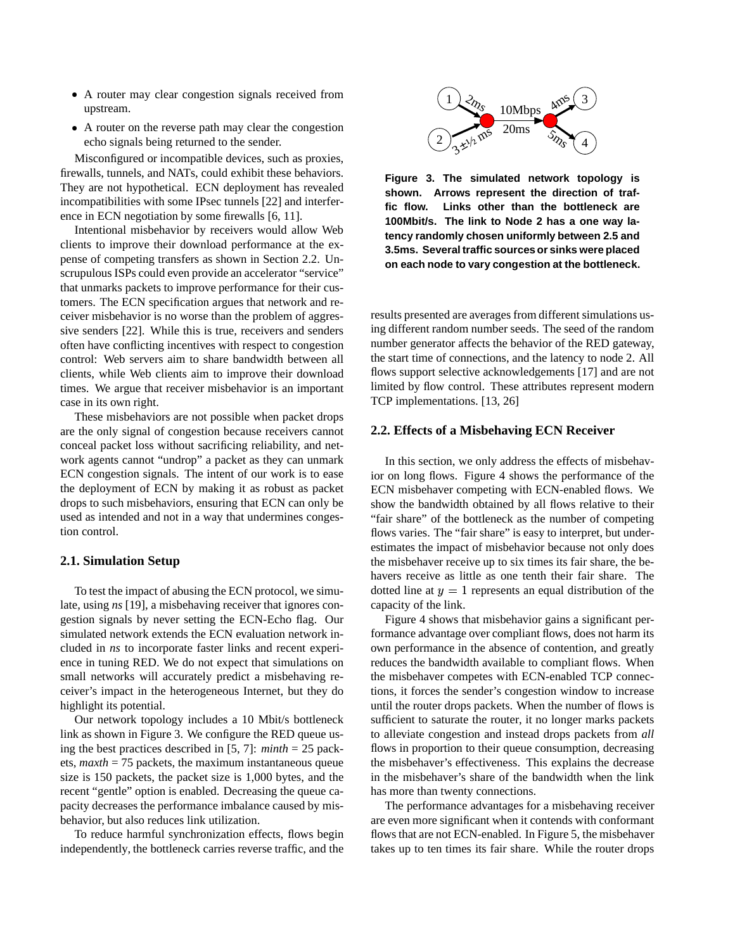- A router may clear congestion signals received from upstream.
- A router on the reverse path may clear the congestion echo signals being returned to the sender.

Misconfigured or incompatible devices, such as proxies, firewalls, tunnels, and NATs, could exhibit these behaviors. They are not hypothetical. ECN deployment has revealed incompatibilities with some IPsec tunnels [22] and interference in ECN negotiation by some firewalls [6, 11].

Intentional misbehavior by receivers would allow Web clients to improve their download performance at the expense of competing transfers as shown in Section 2.2. Unscrupulous ISPs could even provide an accelerator "service" that unmarks packets to improve performance for their customers. The ECN specification argues that network and receiver misbehavior is no worse than the problem of aggressive senders [22]. While this is true, receivers and senders often have conflicting incentives with respect to congestion control: Web servers aim to share bandwidth between all clients, while Web clients aim to improve their download times. We argue that receiver misbehavior is an important case in its own right.

These misbehaviors are not possible when packet drops are the only signal of congestion because receivers cannot conceal packet loss without sacrificing reliability, and network agents cannot "undrop" a packet as they can unmark ECN congestion signals. The intent of our work is to ease the deployment of ECN by making it as robust as packet drops to such misbehaviors, ensuring that ECN can only be used as intended and not in a way that undermines congestion control.

#### **2.1. Simulation Setup**

To test the impact of abusing the ECN protocol, we simulate, using *ns* [19], a misbehaving receiver that ignores congestion signals by never setting the ECN-Echo flag. Our simulated network extends the ECN evaluation network included in *ns* to incorporate faster links and recent experience in tuning RED. We do not expect that simulations on small networks will accurately predict a misbehaving receiver's impact in the heterogeneous Internet, but they do highlight its potential.

Our network topology includes a 10 Mbit/s bottleneck link as shown in Figure 3. We configure the RED queue using the best practices described in [5, 7]: *minth* = 25 packets, *maxth* = 75 packets, the maximum instantaneous queue size is 150 packets, the packet size is 1,000 bytes, and the recent "gentle" option is enabled. Decreasing the queue capacity decreases the performance imbalance caused by misbehavior, but also reduces link utilization.

To reduce harmful synchronization effects, flows begin independently, the bottleneck carries reverse traffic, and the



**Figure 3. The simulated network topology is shown. Arrows represent the direction of traffic flow. Links other than the bottleneck are 100Mbit/s. The link to Node 2 has a one way latency randomly chosen uniformly between 2.5 and 3.5ms. Several traffic sourcesor sinks were placed on each node to vary congestion at the bottleneck.**

results presented are averages from different simulations using different random number seeds. The seed of the random number generator affects the behavior of the RED gateway, the start time of connections, and the latency to node 2. All flows support selective acknowledgements [17] and are not limited by flow control. These attributes represent modern TCP implementations. [13, 26]

#### **2.2. Effects of a Misbehaving ECN Receiver**

In this section, we only address the effects of misbehavior on long flows. Figure 4 shows the performance of the ECN misbehaver competing with ECN-enabled flows. We show the bandwidth obtained by all flows relative to their "fair share" of the bottleneck as the number of competing flows varies. The "fair share" is easy to interpret, but underestimates the impact of misbehavior because not only does the misbehaver receive up to six times its fair share, the behavers receive as little as one tenth their fair share. The dotted line at  $y=1$  represents an equal distribution of the capacity of the link.

Figure 4 shows that misbehavior gains a significant performance advantage over compliant flows, does not harm its own performance in the absence of contention, and greatly reduces the bandwidth available to compliant flows. When the misbehaver competes with ECN-enabled TCP connections, it forces the sender's congestion window to increase until the router drops packets. When the number of flows is sufficient to saturate the router, it no longer marks packets to alleviate congestion and instead drops packets from *all* flows in proportion to their queue consumption, decreasing the misbehaver's effectiveness. This explains the decrease in the misbehaver's share of the bandwidth when the link has more than twenty connections.

The performance advantages for a misbehaving receiver are even more significant when it contends with conformant flows that are not ECN-enabled. In Figure 5, the misbehaver takes up to ten times its fair share. While the router drops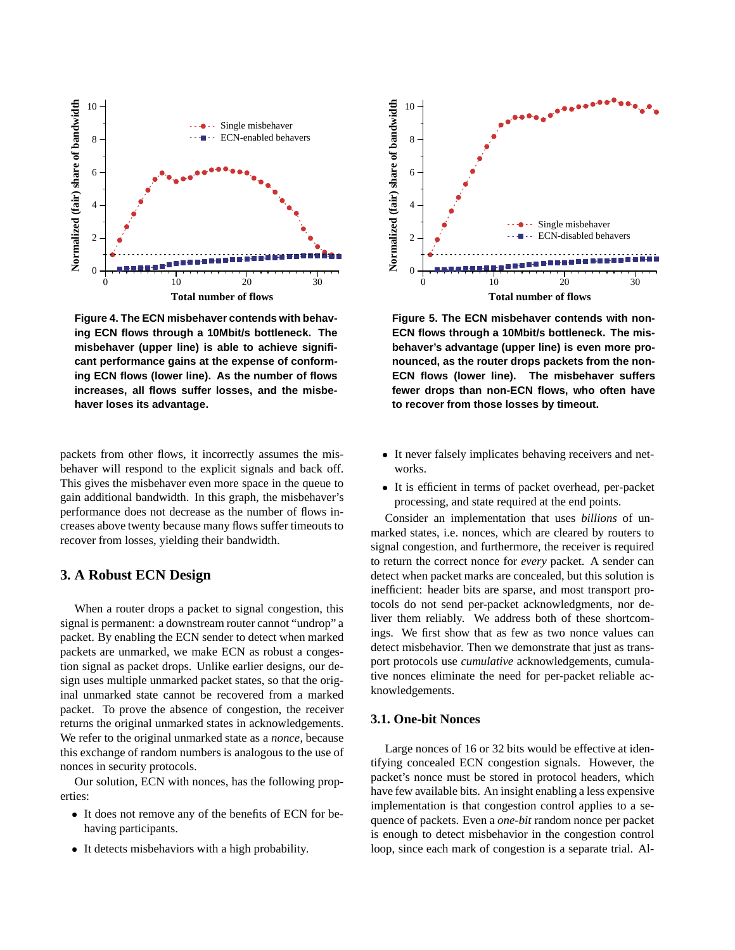

**Figure 4. The ECN misbehaver contends with behaving ECN flows through a 10Mbit/s bottleneck. The misbehaver (upper line) is able to achieve significant performance gains at the expense of conforming ECN flows (lower line). As the number of flows increases, all flows suffer losses, and the misbehaver loses its advantage.**

packets from other flows, it incorrectly assumes the misbehaver will respond to the explicit signals and back off. This gives the misbehaver even more space in the queue to gain additional bandwidth. In this graph, the misbehaver's performance does not decrease as the number of flows increases above twenty because many flows suffer timeouts to recover from losses, yielding their bandwidth.

## **3. A Robust ECN Design**

When a router drops a packet to signal congestion, this signal is permanent: a downstream router cannot "undrop" a packet. By enabling the ECN sender to detect when marked packets are unmarked, we make ECN as robust a congestion signal as packet drops. Unlike earlier designs, our design uses multiple unmarked packet states, so that the original unmarked state cannot be recovered from a marked packet. To prove the absence of congestion, the receiver returns the original unmarked states in acknowledgements. We refer to the original unmarked state as a *nonce*, because this exchange of random numbers is analogous to the use of nonces in security protocols.

Our solution, ECN with nonces, has the following properties:

- It does not remove any of the benefits of ECN for behaving participants.
- It detects misbehaviors with a high probability.



**Figure 5. The ECN misbehaver contends with non-ECN flows through a 10Mbit/s bottleneck. The misbehaver's advantage (upper line) is even more pronounced, as the router drops packets from the non-ECN flows (lower line). The misbehaver suffers fewer drops than non-ECN flows, who often have to recover from those losses by timeout.**

- It never falsely implicates behaving receivers and networks.
- I It is efficient in terms of packet overhead, per-packet processing, and state required at the end points.

Consider an implementation that uses *billions* of unmarked states, i.e. nonces, which are cleared by routers to signal congestion, and furthermore, the receiver is required to return the correct nonce for *every* packet. A sender can detect when packet marks are concealed, but this solution is inefficient: header bits are sparse, and most transport protocols do not send per-packet acknowledgments, nor deliver them reliably. We address both of these shortcomings. We first show that as few as two nonce values can detect misbehavior. Then we demonstrate that just as transport protocols use *cumulative* acknowledgements, cumulative nonces eliminate the need for per-packet reliable acknowledgements.

## **3.1. One-bit Nonces**

Large nonces of 16 or 32 bits would be effective at identifying concealed ECN congestion signals. However, the packet's nonce must be stored in protocol headers, which have few available bits. An insight enabling a less expensive implementation is that congestion control applies to a sequence of packets. Even a *one-bit* random nonce per packet is enough to detect misbehavior in the congestion control loop, since each mark of congestion is a separate trial. Al-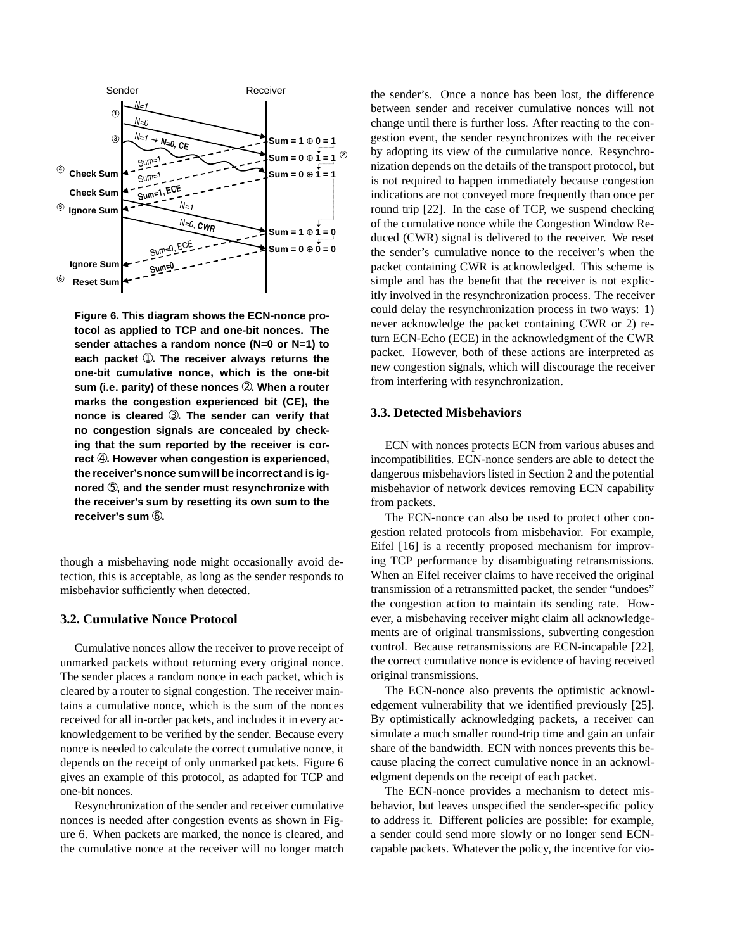

**Figure 6. This diagram shows the ECN-nonce protocol as applied to TCP and one-bit nonces. The sender attaches a random nonce (N=0 or N=1) to each packet** ➀**. The receiver always returns the one-bit cumulative nonce, which is the one-bit sum (i.e. parity) of these nonces** ➁**. When a router marks the congestion experienced bit (CE), the nonce is cleared** ➂**. The sender can verify that no congestion signals are concealed by checking that the sum reported by the receiver is correct** ➃**. However when congestion is experienced, the receiver's nonce sum will be incorrect and is ignored** ➄**, and the sender must resynchronize with the receiver's sum by resetting its own sum to the receiver's sum** ➅**.**

though a misbehaving node might occasionally avoid detection, this is acceptable, as long as the sender responds to misbehavior sufficiently when detected.

#### **3.2. Cumulative Nonce Protocol**

Cumulative nonces allow the receiver to prove receipt of unmarked packets without returning every original nonce. The sender places a random nonce in each packet, which is cleared by a router to signal congestion. The receiver maintains a cumulative nonce, which is the sum of the nonces received for all in-order packets, and includes it in every acknowledgement to be verified by the sender. Because every nonce is needed to calculate the correct cumulative nonce, it depends on the receipt of only unmarked packets. Figure 6 gives an example of this protocol, as adapted for TCP and one-bit nonces.

Resynchronization of the sender and receiver cumulative nonces is needed after congestion events as shown in Figure 6. When packets are marked, the nonce is cleared, and the cumulative nonce at the receiver will no longer match

the sender's. Once a nonce has been lost, the difference between sender and receiver cumulative nonces will not change until there is further loss. After reacting to the congestion event, the sender resynchronizes with the receiver by adopting its view of the cumulative nonce. Resynchronization depends on the details of the transport protocol, but is not required to happen immediately because congestion indications are not conveyed more frequently than once per round trip [22]. In the case of TCP, we suspend checking of the cumulative nonce while the Congestion Window Reduced (CWR) signal is delivered to the receiver. We reset the sender's cumulative nonce to the receiver's when the packet containing CWR is acknowledged. This scheme is simple and has the benefit that the receiver is not explicitly involved in the resynchronization process. The receiver could delay the resynchronization process in two ways: 1) never acknowledge the packet containing CWR or 2) return ECN-Echo (ECE) in the acknowledgment of the CWR packet. However, both of these actions are interpreted as new congestion signals, which will discourage the receiver from interfering with resynchronization.

#### **3.3. Detected Misbehaviors**

ECN with nonces protects ECN from various abuses and incompatibilities. ECN-nonce senders are able to detect the dangerous misbehaviors listed in Section 2 and the potential misbehavior of network devices removing ECN capability from packets.

The ECN-nonce can also be used to protect other congestion related protocols from misbehavior. For example, Eifel [16] is a recently proposed mechanism for improving TCP performance by disambiguating retransmissions. When an Eifel receiver claims to have received the original transmission of a retransmitted packet, the sender "undoes" the congestion action to maintain its sending rate. However, a misbehaving receiver might claim all acknowledgements are of original transmissions, subverting congestion control. Because retransmissions are ECN-incapable [22], the correct cumulative nonce is evidence of having received original transmissions.

The ECN-nonce also prevents the optimistic acknowledgement vulnerability that we identified previously [25]. By optimistically acknowledging packets, a receiver can simulate a much smaller round-trip time and gain an unfair share of the bandwidth. ECN with nonces prevents this because placing the correct cumulative nonce in an acknowledgment depends on the receipt of each packet.

The ECN-nonce provides a mechanism to detect misbehavior, but leaves unspecified the sender-specific policy to address it. Different policies are possible: for example, a sender could send more slowly or no longer send ECNcapable packets. Whatever the policy, the incentive for vio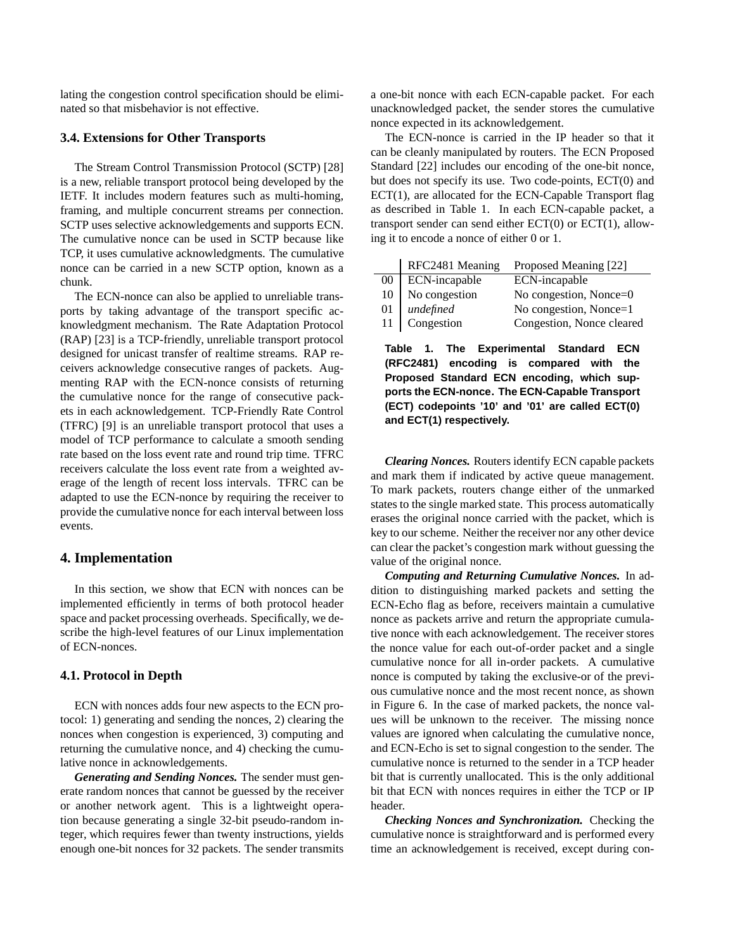lating the congestion control specification should be eliminated so that misbehavior is not effective.

## **3.4. Extensions for Other Transports**

The Stream Control Transmission Protocol (SCTP) [28] is a new, reliable transport protocol being developed by the IETF. It includes modern features such as multi-homing, framing, and multiple concurrent streams per connection. SCTP uses selective acknowledgements and supports ECN. The cumulative nonce can be used in SCTP because like TCP, it uses cumulative acknowledgments. The cumulative nonce can be carried in a new SCTP option, known as a chunk.

The ECN-nonce can also be applied to unreliable transports by taking advantage of the transport specific acknowledgment mechanism. The Rate Adaptation Protocol (RAP) [23] is a TCP-friendly, unreliable transport protocol designed for unicast transfer of realtime streams. RAP receivers acknowledge consecutive ranges of packets. Augmenting RAP with the ECN-nonce consists of returning the cumulative nonce for the range of consecutive packets in each acknowledgement. TCP-Friendly Rate Control (TFRC) [9] is an unreliable transport protocol that uses a model of TCP performance to calculate a smooth sending rate based on the loss event rate and round trip time. TFRC receivers calculate the loss event rate from a weighted average of the length of recent loss intervals. TFRC can be adapted to use the ECN-nonce by requiring the receiver to provide the cumulative nonce for each interval between loss events.

#### **4. Implementation**

In this section, we show that ECN with nonces can be implemented efficiently in terms of both protocol header space and packet processing overheads. Specifically, we describe the high-level features of our Linux implementation of ECN-nonces.

#### **4.1. Protocol in Depth**

ECN with nonces adds four new aspects to the ECN protocol: 1) generating and sending the nonces, 2) clearing the nonces when congestion is experienced, 3) computing and returning the cumulative nonce, and 4) checking the cumulative nonce in acknowledgements.

*Generating and Sending Nonces.* The sender must generate random nonces that cannot be guessed by the receiver or another network agent. This is a lightweight operation because generating a single 32-bit pseudo-random integer, which requires fewer than twenty instructions, yields enough one-bit nonces for 32 packets. The sender transmits a one-bit nonce with each ECN-capable packet. For each unacknowledged packet, the sender stores the cumulative nonce expected in its acknowledgement.

The ECN-nonce is carried in the IP header so that it can be cleanly manipulated by routers. The ECN Proposed Standard [22] includes our encoding of the one-bit nonce, but does not specify its use. Two code-points, ECT(0) and ECT(1), are allocated for the ECN-Capable Transport flag as described in Table 1. In each ECN-capable packet, a transport sender can send either ECT(0) or ECT(1), allowing it to encode a nonce of either 0 or 1.

|    | RFC2481 Meaning | Proposed Meaning [22]     |
|----|-----------------|---------------------------|
| 00 | ECN-incapable   | ECN-incapable             |
| 10 | No congestion   | No congestion, Nonce=0    |
| 01 | undefined       | No congestion, Nonce=1    |
| 11 | Congestion      | Congestion, Nonce cleared |

**Table 1. The Experimental Standard ECN (RFC2481) encoding is compared with the Proposed Standard ECN encoding, which supports the ECN-nonce. The ECN-Capable Transport (ECT) codepoints '10' and '01' are called ECT(0) and ECT(1) respectively.**

*Clearing Nonces.* Routers identify ECN capable packets and mark them if indicated by active queue management. To mark packets, routers change either of the unmarked states to the single marked state. This process automatically erases the original nonce carried with the packet, which is key to our scheme. Neither the receiver nor any other device can clear the packet's congestion mark without guessing the value of the original nonce.

*Computing and Returning Cumulative Nonces.* In addition to distinguishing marked packets and setting the ECN-Echo flag as before, receivers maintain a cumulative nonce as packets arrive and return the appropriate cumulative nonce with each acknowledgement. The receiver stores the nonce value for each out-of-order packet and a single cumulative nonce for all in-order packets. A cumulative nonce is computed by taking the exclusive-or of the previous cumulative nonce and the most recent nonce, as shown in Figure 6. In the case of marked packets, the nonce values will be unknown to the receiver. The missing nonce values are ignored when calculating the cumulative nonce, and ECN-Echo is set to signal congestion to the sender. The cumulative nonce is returned to the sender in a TCP header bit that is currently unallocated. This is the only additional bit that ECN with nonces requires in either the TCP or IP header.

*Checking Nonces and Synchronization.* Checking the cumulative nonce is straightforward and is performed every time an acknowledgement is received, except during con-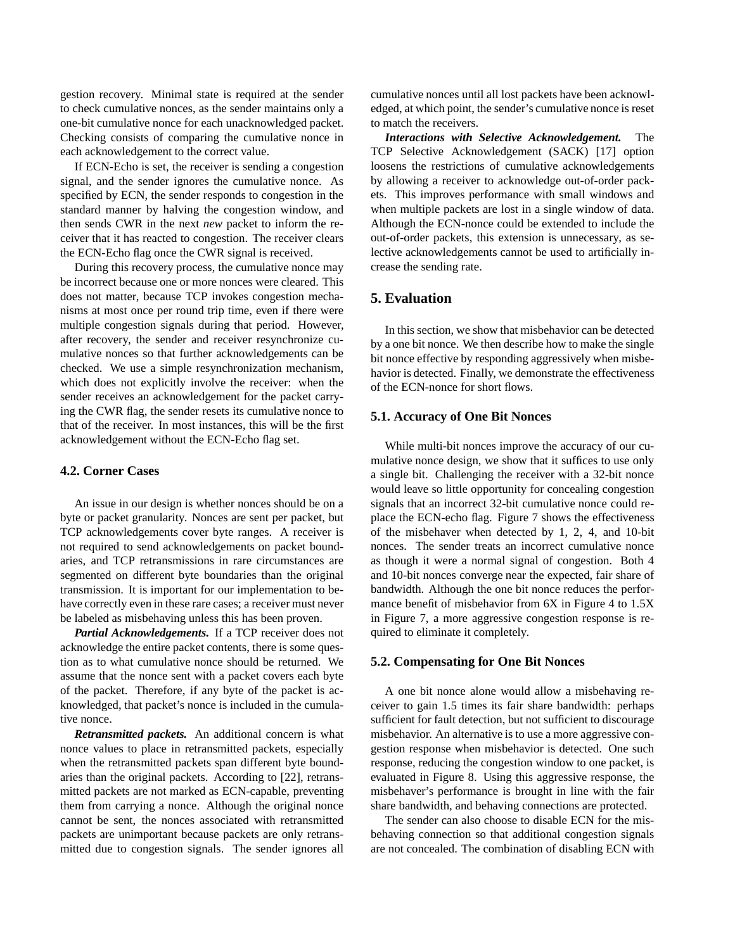gestion recovery. Minimal state is required at the sender to check cumulative nonces, as the sender maintains only a one-bit cumulative nonce for each unacknowledged packet. Checking consists of comparing the cumulative nonce in each acknowledgement to the correct value.

If ECN-Echo is set, the receiver is sending a congestion signal, and the sender ignores the cumulative nonce. As specified by ECN, the sender responds to congestion in the standard manner by halving the congestion window, and then sends CWR in the next *new* packet to inform the receiver that it has reacted to congestion. The receiver clears the ECN-Echo flag once the CWR signal is received.

During this recovery process, the cumulative nonce may be incorrect because one or more nonces were cleared. This does not matter, because TCP invokes congestion mechanisms at most once per round trip time, even if there were multiple congestion signals during that period. However, after recovery, the sender and receiver resynchronize cumulative nonces so that further acknowledgements can be checked. We use a simple resynchronization mechanism, which does not explicitly involve the receiver: when the sender receives an acknowledgement for the packet carrying the CWR flag, the sender resets its cumulative nonce to that of the receiver. In most instances, this will be the first acknowledgement without the ECN-Echo flag set.

#### **4.2. Corner Cases**

An issue in our design is whether nonces should be on a byte or packet granularity. Nonces are sent per packet, but TCP acknowledgements cover byte ranges. A receiver is not required to send acknowledgements on packet boundaries, and TCP retransmissions in rare circumstances are segmented on different byte boundaries than the original transmission. It is important for our implementation to behave correctly even in these rare cases; a receiver must never be labeled as misbehaving unless this has been proven.

*Partial Acknowledgements.* If a TCP receiver does not acknowledge the entire packet contents, there is some question as to what cumulative nonce should be returned. We assume that the nonce sent with a packet covers each byte of the packet. Therefore, if any byte of the packet is acknowledged, that packet's nonce is included in the cumulative nonce.

*Retransmitted packets.* An additional concern is what nonce values to place in retransmitted packets, especially when the retransmitted packets span different byte boundaries than the original packets. According to [22], retransmitted packets are not marked as ECN-capable, preventing them from carrying a nonce. Although the original nonce cannot be sent, the nonces associated with retransmitted packets are unimportant because packets are only retransmitted due to congestion signals. The sender ignores all cumulative nonces until all lost packets have been acknowledged, at which point, the sender's cumulative nonce is reset to match the receivers.

*Interactions with Selective Acknowledgement.* The TCP Selective Acknowledgement (SACK) [17] option loosens the restrictions of cumulative acknowledgements by allowing a receiver to acknowledge out-of-order packets. This improves performance with small windows and when multiple packets are lost in a single window of data. Although the ECN-nonce could be extended to include the out-of-order packets, this extension is unnecessary, as selective acknowledgements cannot be used to artificially increase the sending rate.

## **5. Evaluation**

In this section, we show that misbehavior can be detected by a one bit nonce. We then describe how to make the single bit nonce effective by responding aggressively when misbehavior is detected. Finally, we demonstrate the effectiveness of the ECN-nonce for short flows.

#### **5.1. Accuracy of One Bit Nonces**

While multi-bit nonces improve the accuracy of our cumulative nonce design, we show that it suffices to use only a single bit. Challenging the receiver with a 32-bit nonce would leave so little opportunity for concealing congestion signals that an incorrect 32-bit cumulative nonce could replace the ECN-echo flag. Figure 7 shows the effectiveness of the misbehaver when detected by 1, 2, 4, and 10-bit nonces. The sender treats an incorrect cumulative nonce as though it were a normal signal of congestion. Both 4 and 10-bit nonces converge near the expected, fair share of bandwidth. Although the one bit nonce reduces the performance benefit of misbehavior from 6X in Figure 4 to  $1.5X$ in Figure 7, a more aggressive congestion response is required to eliminate it completely.

#### **5.2. Compensating for One Bit Nonces**

A one bit nonce alone would allow a misbehaving receiver to gain 1.5 times its fair share bandwidth: perhaps sufficient for fault detection, but not sufficient to discourage misbehavior. An alternative is to use a more aggressive congestion response when misbehavior is detected. One such response, reducing the congestion window to one packet, is evaluated in Figure 8. Using this aggressive response, the misbehaver's performance is brought in line with the fair share bandwidth, and behaving connections are protected.

The sender can also choose to disable ECN for the misbehaving connection so that additional congestion signals are not concealed. The combination of disabling ECN with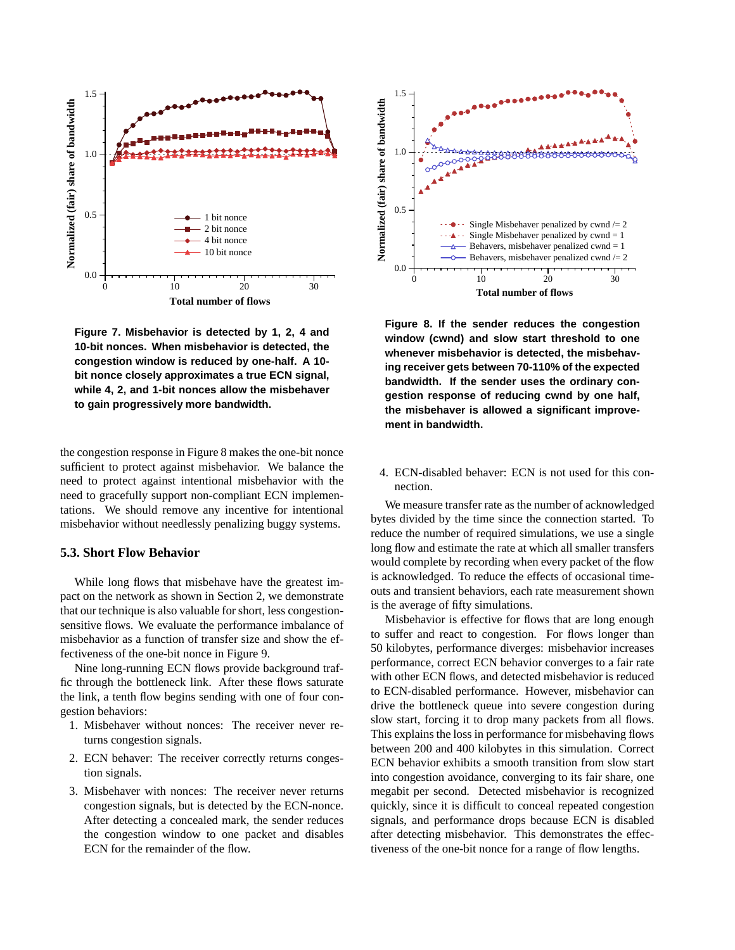

**Figure 7. Misbehavior is detected by 1, 2, 4 and 10-bit nonces. When misbehavior is detected, the congestion window is reduced by one-half. A 10 bit nonce closely approximates a true ECN signal, while 4, 2, and 1-bit nonces allow the misbehaver to gain progressively more bandwidth.**

the congestion response in Figure 8 makes the one-bit nonce sufficient to protect against misbehavior. We balance the need to protect against intentional misbehavior with the need to gracefully support non-compliant ECN implementations. We should remove any incentive for intentional misbehavior without needlessly penalizing buggy systems.

## **5.3. Short Flow Behavior**

While long flows that misbehave have the greatest impact on the network as shown in Section 2, we demonstrate that our technique is also valuable for short, less congestionsensitive flows. We evaluate the performance imbalance of misbehavior as a function of transfer size and show the effectiveness of the one-bit nonce in Figure 9.

Nine long-running ECN flows provide background traffic through the bottleneck link. After these flows saturate the link, a tenth flow begins sending with one of four congestion behaviors:

- 1. Misbehaver without nonces: The receiver never returns congestion signals.
- 2. ECN behaver: The receiver correctly returns congestion signals.
- 3. Misbehaver with nonces: The receiver never returns congestion signals, but is detected by the ECN-nonce. After detecting a concealed mark, the sender reduces the congestion window to one packet and disables ECN for the remainder of the flow.



**Figure 8. If the sender reduces the congestion window (cwnd) and slow start threshold to one whenever misbehavior is detected, the misbehaving receiver gets between 70-110% of the expected bandwidth. If the sender uses the ordinary congestion response of reducing cwnd by one half, the misbehaver is allowed a significant improvement in bandwidth.**

4. ECN-disabled behaver: ECN is not used for this connection.

We measure transfer rate as the number of acknowledged bytes divided by the time since the connection started. To reduce the number of required simulations, we use a single long flow and estimate the rate at which all smaller transfers would complete by recording when every packet of the flow is acknowledged. To reduce the effects of occasional timeouts and transient behaviors, each rate measurement shown is the average of fifty simulations.

Misbehavior is effective for flows that are long enough to suffer and react to congestion. For flows longer than 50 kilobytes, performance diverges: misbehavior increases performance, correct ECN behavior converges to a fair rate with other ECN flows, and detected misbehavior is reduced to ECN-disabled performance. However, misbehavior can drive the bottleneck queue into severe congestion during slow start, forcing it to drop many packets from all flows. This explains the loss in performance for misbehaving flows between 200 and 400 kilobytes in this simulation. Correct ECN behavior exhibits a smooth transition from slow start into congestion avoidance, converging to its fair share, one megabit per second. Detected misbehavior is recognized quickly, since it is difficult to conceal repeated congestion signals, and performance drops because ECN is disabled after detecting misbehavior. This demonstrates the effectiveness of the one-bit nonce for a range of flow lengths.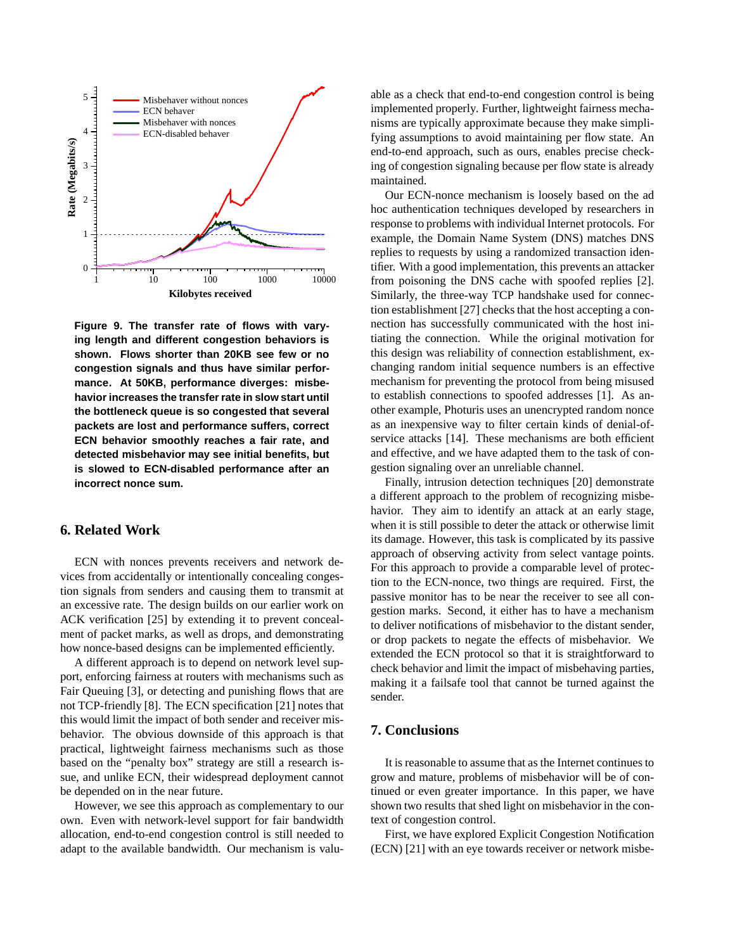

**Figure 9. The transfer rate of flows with varying length and different congestion behaviors is shown. Flows shorter than 20KB see few or no congestion signals and thus have similar performance. At 50KB, performance diverges: misbehavior increases the transferrate in slow start until the bottleneck queue is so congested that several packets are lost and performance suffers, correct ECN behavior smoothly reaches a fair rate, and detected misbehavior may see initial benefits, but is slowed to ECN-disabled performance after an incorrect nonce sum.**

# **6. Related Work**

ECN with nonces prevents receivers and network devices from accidentally or intentionally concealing congestion signals from senders and causing them to transmit at an excessive rate. The design builds on our earlier work on ACK verification [25] by extending it to prevent concealment of packet marks, as well as drops, and demonstrating how nonce-based designs can be implemented efficiently.

A different approach is to depend on network level support, enforcing fairness at routers with mechanisms such as Fair Queuing [3], or detecting and punishing flows that are not TCP-friendly [8]. The ECN specification [21] notes that this would limit the impact of both sender and receiver misbehavior. The obvious downside of this approach is that practical, lightweight fairness mechanisms such as those based on the "penalty box" strategy are still a research issue, and unlike ECN, their widespread deployment cannot be depended on in the near future.

However, we see this approach as complementary to our own. Even with network-level support for fair bandwidth allocation, end-to-end congestion control is still needed to adapt to the available bandwidth. Our mechanism is valuable as a check that end-to-end congestion control is being implemented properly. Further, lightweight fairness mechanisms are typically approximate because they make simplifying assumptions to avoid maintaining per flow state. An end-to-end approach, such as ours, enables precise checking of congestion signaling because per flow state is already maintained.

Our ECN-nonce mechanism is loosely based on the ad hoc authentication techniques developed by researchers in response to problems with individual Internet protocols. For example, the Domain Name System (DNS) matches DNS replies to requests by using a randomized transaction identifier. With a good implementation, this prevents an attacker from poisoning the DNS cache with spoofed replies [2]. Similarly, the three-way TCP handshake used for connection establishment  $[27]$  checks that the host accepting a connection has successfully communicated with the host initiating the connection. While the original motivation for this design was reliability of connection establishment, exchanging random initial sequence numbers is an effective mechanism for preventing the protocol from being misused to establish connections to spoofed addresses [1]. As another example, Photuris uses an unencrypted random nonce as an inexpensive way to filter certain kinds of denial-ofservice attacks [14]. These mechanisms are both efficient and effective, and we have adapted them to the task of congestion signaling over an unreliable channel.

Finally, intrusion detection techniques [20] demonstrate a different approach to the problem of recognizing misbehavior. They aim to identify an attack at an early stage, when it is still possible to deter the attack or otherwise limit its damage. However, this task is complicated by its passive approach of observing activity from select vantage points. For this approach to provide a comparable level of protection to the ECN-nonce, two things are required. First, the passive monitor has to be near the receiver to see all congestion marks. Second, it either has to have a mechanism to deliver notifications of misbehavior to the distant sender, or drop packets to negate the effects of misbehavior. We extended the ECN protocol so that it is straightforward to check behavior and limit the impact of misbehaving parties, making it a failsafe tool that cannot be turned against the sender.

## **7. Conclusions**

It is reasonable to assume that asthe Internet continuesto grow and mature, problems of misbehavior will be of continued or even greater importance. In this paper, we have shown two results that shed light on misbehavior in the context of congestion control.

First, we have explored Explicit Congestion Notification (ECN) [21] with an eye towards receiver or network misbe